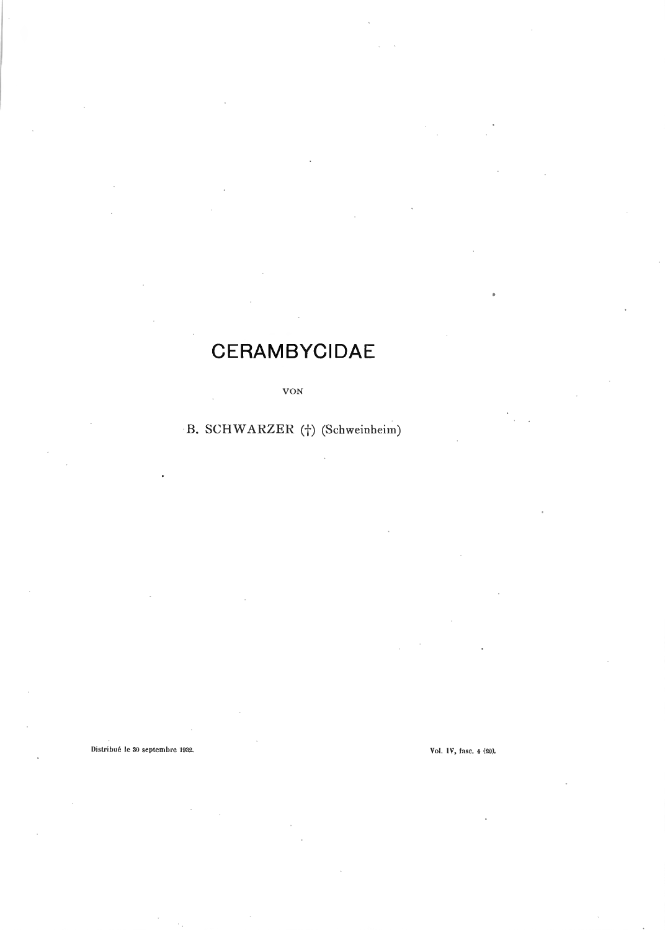# **CERAMBYCIDAE**

VON

# B. SCHWARZER (f) (Schweinheim)

# Distribué le 30 septembre 1932. Vol. 1V, fasc. 4 (20).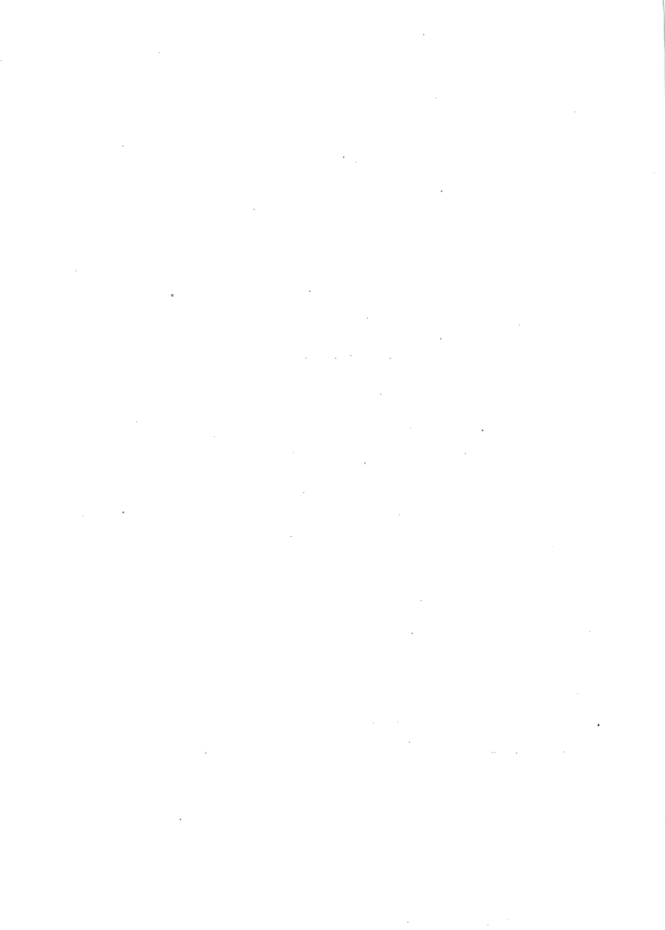$\label{eq:2.1} \frac{1}{\sqrt{2}}\int_{\mathbb{R}^3}\frac{1}{\sqrt{2}}\left(\frac{1}{\sqrt{2}}\int_{\mathbb{R}^3}\frac{1}{\sqrt{2}}\left(\frac{1}{\sqrt{2}}\int_{\mathbb{R}^3}\frac{1}{\sqrt{2}}\left(\frac{1}{\sqrt{2}}\int_{\mathbb{R}^3}\frac{1}{\sqrt{2}}\right)\frac{1}{\sqrt{2}}\right)\frac{1}{\sqrt{2}}\right)=\frac{1}{2}\int_{\mathbb{R}^3}\frac{1}{\sqrt{2}}\int_{\mathbb{R}^3}\frac{1}{\sqrt{2}}\left(\frac{1$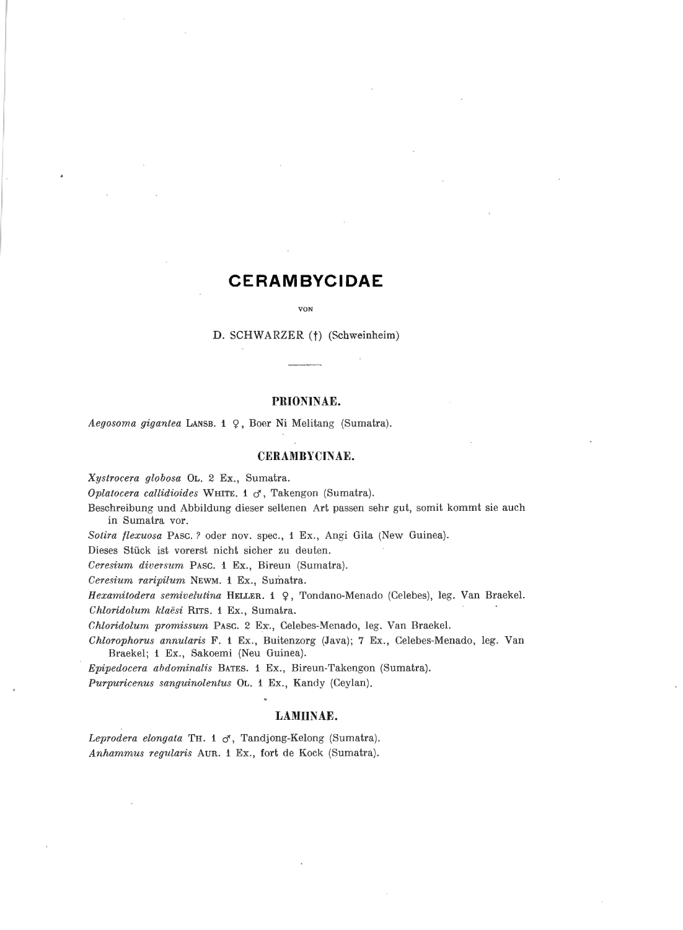# **CERAMBYCIDAE**

VON

D. SCHWARZER (f) (Schweinheim)

## PRIONINAE.

Aegosoma gigantea Lansb. <sup>1</sup> Ç, Boer Ni Melitang (Sumatra).

## CERAMBYCINAE.

Xyslrocera globosa Ol. 2 Ex., Sumatra.

Oplatocera callidioides WHITE. 1  $\sigma$ , Takengon (Sumatra).

Beschreibung und Abbildung dieser seltenen Art passen sehr gut, somit kommt sie auch in Sumatra vor.

Sotira flexuosa PASC. ? oder nov. spec., 1 Ex., Angi Gita (New Guinea).

Dieses Stiick ist vorerst nicht sicher zu deuten.

Ceresium diversum Pasc. <sup>1</sup> Ex., Bireun (Sumatra).

Ceresium raripilum Newm. 1 Ex., Sumatra.

Hexamitodera semivelutina HELLER.  $1 \, 9$ , Tondano-Menado (Celebes), leg. Van Braekel.

Chloridolum klaësi RITS. 1 Ex., Sumatra.

Chloridolum promissum Pasc. <sup>2</sup> Ex., Celebes-Menado, leg. Van Braekel.

Chlorophorus annularis F. <sup>1</sup> Ex., Buitenzorg (Java); 7 Ex., Celebes-Menado, leg. Van Braekel; <sup>1</sup> Ex., Sakoemi (Neu Guinea).

Epipedocera abdominalis BATES. 1 Ex., Bireun-Takengon (Sumatra).

Purpuricenus sanguinolentus OL. 1 Ex., Kandy (Ceylan).

### LAMIINAE.

Leprodera elongata TH. 1 ♂, Tandjong-Kelong (Sumatra). Anhammus regularis Aur. <sup>1</sup> Ex., fort de Kock (Sumatra).